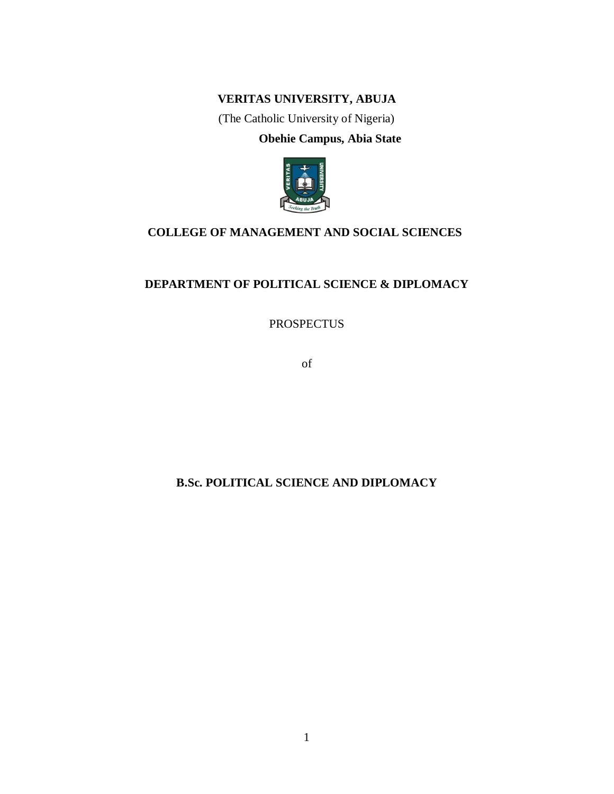# **VERITAS UNIVERSITY, ABUJA**

(The Catholic University of Nigeria) **Obehie Campus, Abia State**



# **COLLEGE OF MANAGEMENT AND SOCIAL SCIENCES**

# **DEPARTMENT OF POLITICAL SCIENCE & DIPLOMACY**

PROSPECTUS

of

# **B.Sc. POLITICAL SCIENCE AND DIPLOMACY**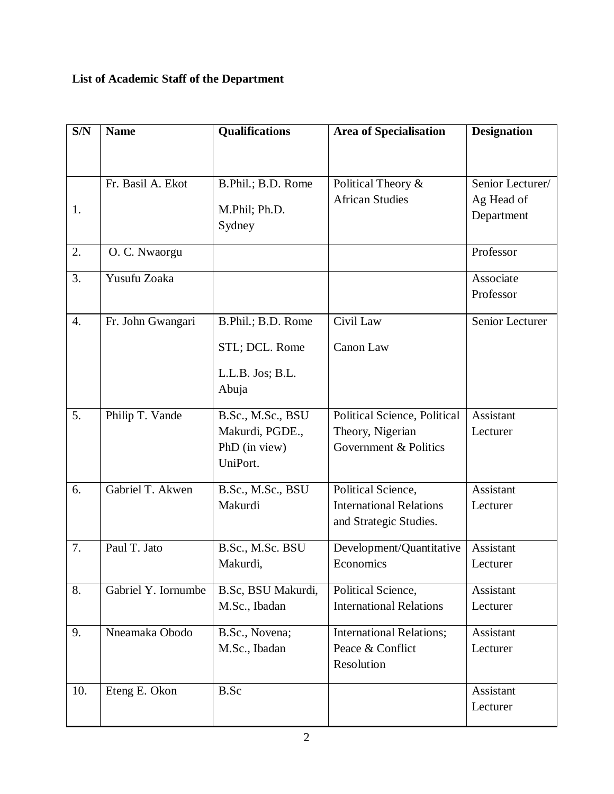# **List of Academic Staff of the Department**

| S/N              | <b>Name</b>         | <b>Qualifications</b> | <b>Area of Specialisation</b>   | <b>Designation</b> |
|------------------|---------------------|-----------------------|---------------------------------|--------------------|
|                  |                     |                       |                                 |                    |
|                  | Fr. Basil A. Ekot   | B.Phil.; B.D. Rome    | Political Theory &              | Senior Lecturer/   |
|                  |                     |                       | <b>African Studies</b>          | Ag Head of         |
| 1.               |                     | M.Phil; Ph.D.         |                                 | Department         |
|                  |                     | Sydney                |                                 |                    |
| 2.               | O. C. Nwaorgu       |                       |                                 | Professor          |
| 3.               | Yusufu Zoaka        |                       |                                 | Associate          |
|                  |                     |                       |                                 | Professor          |
| $\overline{4}$ . | Fr. John Gwangari   | B.Phil.; B.D. Rome    | Civil Law                       | Senior Lecturer    |
|                  |                     | STL; DCL. Rome        | Canon Law                       |                    |
|                  |                     | L.L.B. Jos; B.L.      |                                 |                    |
|                  |                     | Abuja                 |                                 |                    |
| 5.               | Philip T. Vande     | B.Sc., M.Sc., BSU     | Political Science, Political    | Assistant          |
|                  |                     | Makurdi, PGDE.,       | Theory, Nigerian                | Lecturer           |
|                  |                     | PhD (in view)         | Government & Politics           |                    |
|                  |                     | UniPort.              |                                 |                    |
| 6.               | Gabriel T. Akwen    | B.Sc., M.Sc., BSU     | Political Science,              | Assistant          |
|                  |                     | Makurdi               | <b>International Relations</b>  | Lecturer           |
|                  |                     |                       | and Strategic Studies.          |                    |
| 7.               | Paul T. Jato        | B.Sc., M.Sc. BSU      | Development/Quantitative        | Assistant          |
|                  |                     | Makurdi,              | Economics                       | Lecturer           |
| 8.               | Gabriel Y. Iornumbe | B.Sc, BSU Makurdi,    | Political Science,              | Assistant          |
|                  |                     | M.Sc., Ibadan         | <b>International Relations</b>  | Lecturer           |
| 9.               | Nneamaka Obodo      | B.Sc., Novena;        | <b>International Relations;</b> | Assistant          |
|                  |                     | M.Sc., Ibadan         | Peace & Conflict                | Lecturer           |
|                  |                     |                       | Resolution                      |                    |
| 10.              | Eteng E. Okon       | <b>B.Sc</b>           |                                 | Assistant          |
|                  |                     |                       |                                 | Lecturer           |
|                  |                     |                       |                                 |                    |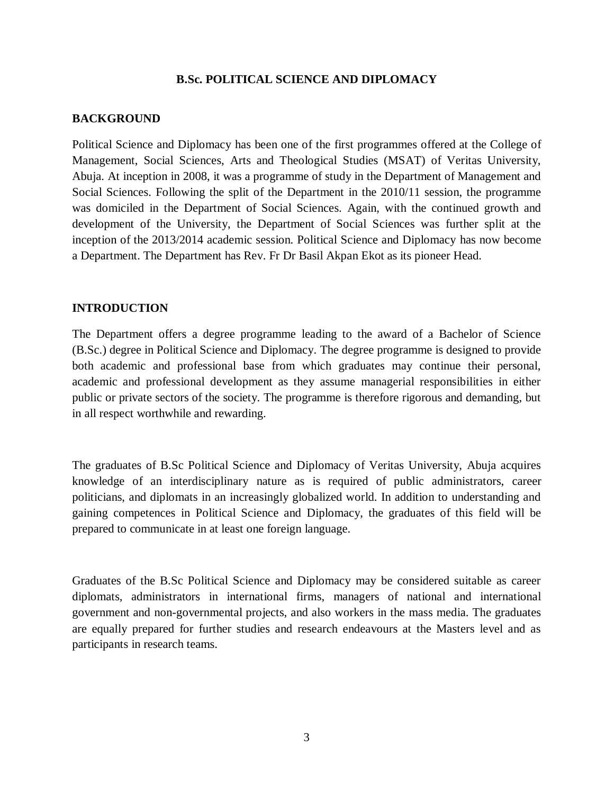### **B.Sc. POLITICAL SCIENCE AND DIPLOMACY**

### **BACKGROUND**

Political Science and Diplomacy has been one of the first programmes offered at the College of Management, Social Sciences, Arts and Theological Studies (MSAT) of Veritas University, Abuja. At inception in 2008, it was a programme of study in the Department of Management and Social Sciences. Following the split of the Department in the 2010/11 session, the programme was domiciled in the Department of Social Sciences. Again, with the continued growth and development of the University, the Department of Social Sciences was further split at the inception of the 2013/2014 academic session. Political Science and Diplomacy has now become a Department. The Department has Rev. Fr Dr Basil Akpan Ekot as its pioneer Head.

### **INTRODUCTION**

The Department offers a degree programme leading to the award of a Bachelor of Science (B.Sc.) degree in Political Science and Diplomacy. The degree programme is designed to provide both academic and professional base from which graduates may continue their personal, academic and professional development as they assume managerial responsibilities in either public or private sectors of the society. The programme is therefore rigorous and demanding, but in all respect worthwhile and rewarding.

The graduates of B.Sc Political Science and Diplomacy of Veritas University, Abuja acquires knowledge of an interdisciplinary nature as is required of public administrators, career politicians, and diplomats in an increasingly globalized world. In addition to understanding and gaining competences in Political Science and Diplomacy, the graduates of this field will be prepared to communicate in at least one foreign language.

Graduates of the B.Sc Political Science and Diplomacy may be considered suitable as career diplomats, administrators in international firms, managers of national and international government and non-governmental projects, and also workers in the mass media. The graduates are equally prepared for further studies and research endeavours at the Masters level and as participants in research teams.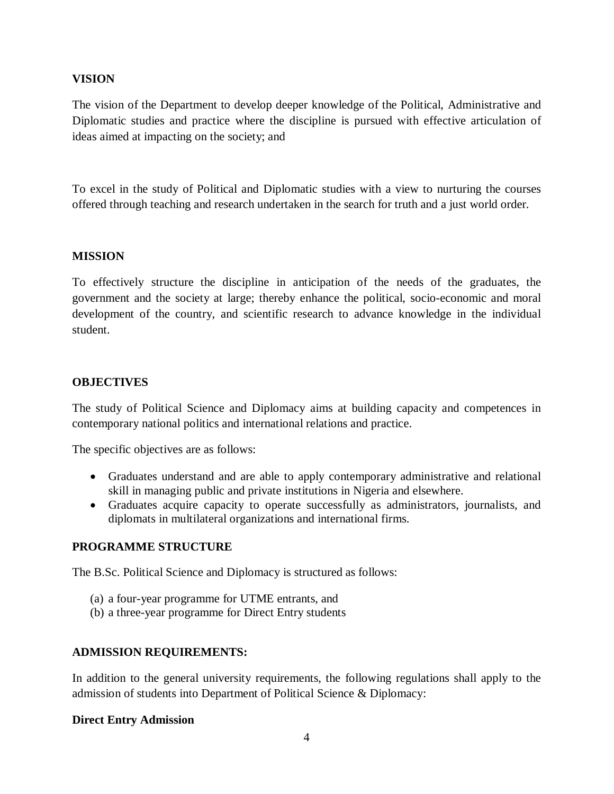### **VISION**

The vision of the Department to develop deeper knowledge of the Political, Administrative and Diplomatic studies and practice where the discipline is pursued with effective articulation of ideas aimed at impacting on the society; and

To excel in the study of Political and Diplomatic studies with a view to nurturing the courses offered through teaching and research undertaken in the search for truth and a just world order.

## **MISSION**

To effectively structure the discipline in anticipation of the needs of the graduates, the government and the society at large; thereby enhance the political, socio-economic and moral development of the country, and scientific research to advance knowledge in the individual student.

## **OBJECTIVES**

The study of Political Science and Diplomacy aims at building capacity and competences in contemporary national politics and international relations and practice.

The specific objectives are as follows:

- Graduates understand and are able to apply contemporary administrative and relational skill in managing public and private institutions in Nigeria and elsewhere.
- Graduates acquire capacity to operate successfully as administrators, journalists, and diplomats in multilateral organizations and international firms.

### **PROGRAMME STRUCTURE**

The B.Sc. Political Science and Diplomacy is structured as follows:

- (a) a four-year programme for UTME entrants, and
- (b) a three-year programme for Direct Entry students

### **ADMISSION REQUIREMENTS:**

In addition to the general university requirements, the following regulations shall apply to the admission of students into Department of Political Science & Diplomacy:

### **Direct Entry Admission**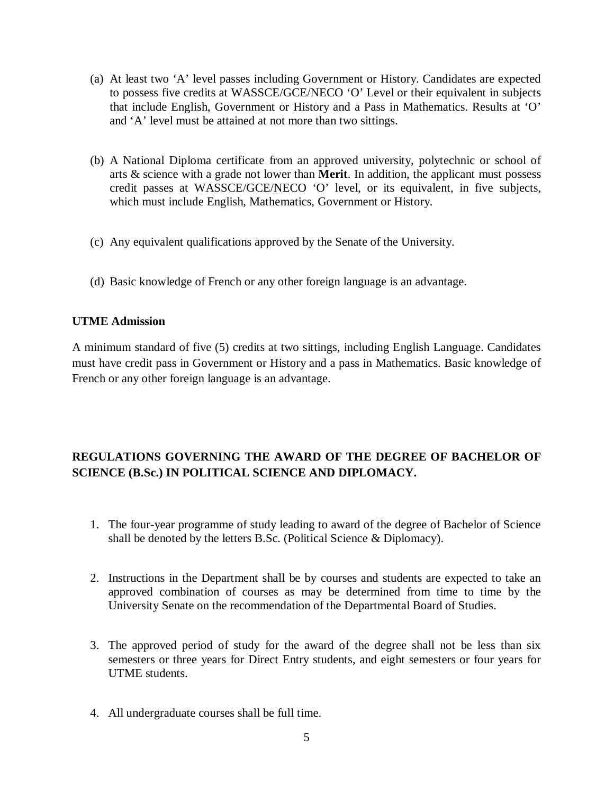- (a) At least two 'A' level passes including Government or History. Candidates are expected to possess five credits at WASSCE/GCE/NECO 'O' Level or their equivalent in subjects that include English, Government or History and a Pass in Mathematics. Results at 'O' and 'A' level must be attained at not more than two sittings.
- (b) A National Diploma certificate from an approved university, polytechnic or school of arts & science with a grade not lower than **Merit**. In addition, the applicant must possess credit passes at WASSCE/GCE/NECO 'O' level, or its equivalent, in five subjects, which must include English, Mathematics, Government or History.
- (c) Any equivalent qualifications approved by the Senate of the University.
- (d) Basic knowledge of French or any other foreign language is an advantage.

### **UTME Admission**

A minimum standard of five (5) credits at two sittings, including English Language. Candidates must have credit pass in Government or History and a pass in Mathematics. Basic knowledge of French or any other foreign language is an advantage.

# **REGULATIONS GOVERNING THE AWARD OF THE DEGREE OF BACHELOR OF SCIENCE (B.Sc.) IN POLITICAL SCIENCE AND DIPLOMACY.**

- 1. The four-year programme of study leading to award of the degree of Bachelor of Science shall be denoted by the letters B.Sc. (Political Science & Diplomacy).
- 2. Instructions in the Department shall be by courses and students are expected to take an approved combination of courses as may be determined from time to time by the University Senate on the recommendation of the Departmental Board of Studies.
- 3. The approved period of study for the award of the degree shall not be less than six semesters or three years for Direct Entry students, and eight semesters or four years for UTME students.
- 4. All undergraduate courses shall be full time.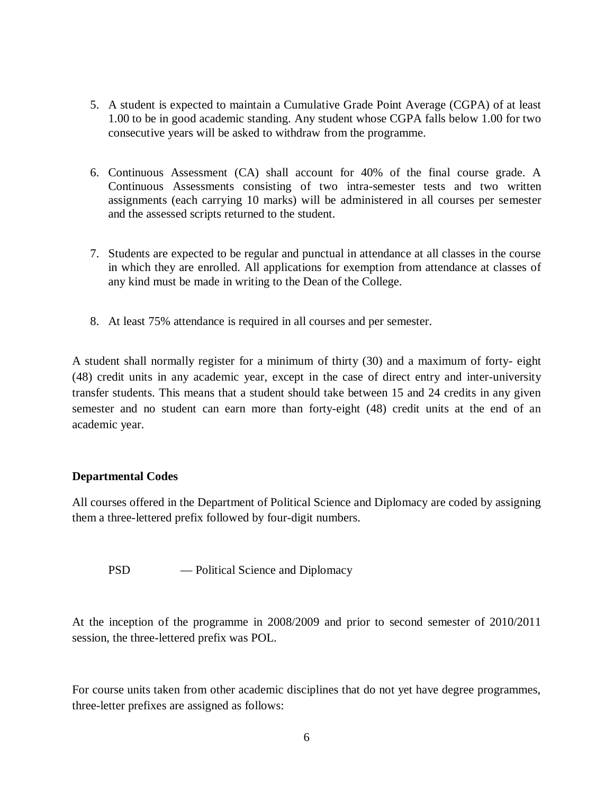- 5. A student is expected to maintain a Cumulative Grade Point Average (CGPA) of at least 1.00 to be in good academic standing. Any student whose CGPA falls below 1.00 for two consecutive years will be asked to withdraw from the programme.
- 6. Continuous Assessment (CA) shall account for 40% of the final course grade. A Continuous Assessments consisting of two intra-semester tests and two written assignments (each carrying 10 marks) will be administered in all courses per semester and the assessed scripts returned to the student.
- 7. Students are expected to be regular and punctual in attendance at all classes in the course in which they are enrolled. All applications for exemption from attendance at classes of any kind must be made in writing to the Dean of the College.
- 8. At least 75% attendance is required in all courses and per semester.

A student shall normally register for a minimum of thirty (30) and a maximum of forty- eight (48) credit units in any academic year, except in the case of direct entry and inter-university transfer students. This means that a student should take between 15 and 24 credits in any given semester and no student can earn more than forty-eight (48) credit units at the end of an academic year.

# **Departmental Codes**

All courses offered in the Department of Political Science and Diplomacy are coded by assigning them a three-lettered prefix followed by four-digit numbers.

PSD — Political Science and Diplomacy

At the inception of the programme in 2008/2009 and prior to second semester of 2010/2011 session, the three-lettered prefix was POL.

For course units taken from other academic disciplines that do not yet have degree programmes, three-letter prefixes are assigned as follows: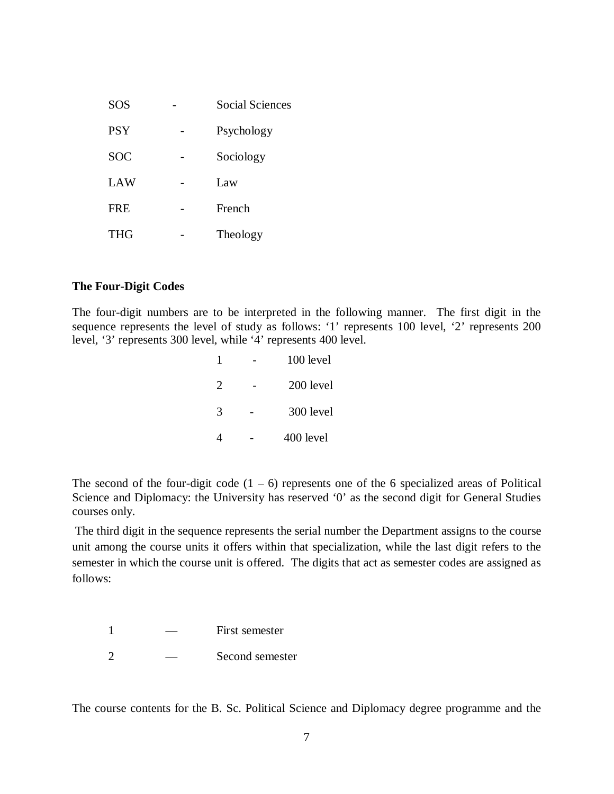| <b>SOS</b> | Social Sciences |
|------------|-----------------|
| <b>PSY</b> | Psychology      |
| <b>SOC</b> | Sociology       |
| LAW        | Law             |
| <b>FRE</b> | French          |
| <b>THG</b> | Theology        |

### **The Four-Digit Codes**

The four-digit numbers are to be interpreted in the following manner. The first digit in the sequence represents the level of study as follows: '1' represents 100 level, '2' represents 200 level, '3' represents 300 level, while '4' represents 400 level.

|                | $100$ level |
|----------------|-------------|
| $\overline{2}$ | 200 level   |
| $\mathcal{R}$  | 300 level   |
|                | 400 level   |

The second of the four-digit code  $(1 - 6)$  represents one of the 6 specialized areas of Political Science and Diplomacy: the University has reserved '0' as the second digit for General Studies courses only.

The third digit in the sequence represents the serial number the Department assigns to the course unit among the course units it offers within that specialization, while the last digit refers to the semester in which the course unit is offered. The digits that act as semester codes are assigned as follows:

1 — First semester

2 — Second semester

The course contents for the B. Sc. Political Science and Diplomacy degree programme and the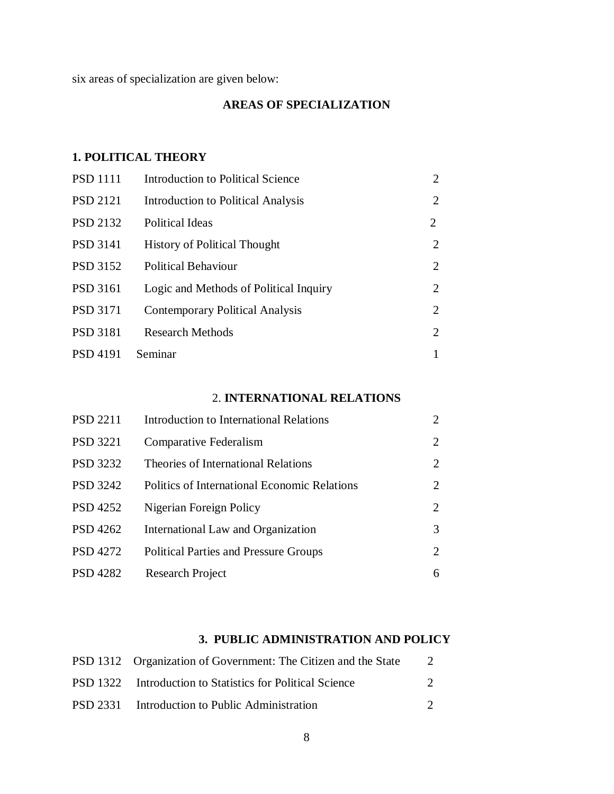six areas of specialization are given below:

# **AREAS OF SPECIALIZATION**

# **1. POLITICAL THEORY**

| <b>PSD 1111</b> | Introduction to Political Science      | $\overline{2}$ |
|-----------------|----------------------------------------|----------------|
| <b>PSD 2121</b> | Introduction to Political Analysis     | 2              |
| <b>PSD 2132</b> | Political Ideas                        | 2              |
| <b>PSD 3141</b> | <b>History of Political Thought</b>    | 2              |
| <b>PSD 3152</b> | <b>Political Behaviour</b>             | $\overline{2}$ |
| <b>PSD 3161</b> | Logic and Methods of Political Inquiry | 2              |
| <b>PSD 3171</b> | <b>Contemporary Political Analysis</b> | $\overline{2}$ |
| <b>PSD 3181</b> | <b>Research Methods</b>                | 2              |
| <b>PSD 4191</b> | Seminar                                |                |

# 2. **INTERNATIONAL RELATIONS**

| <b>PSD 2211</b> | Introduction to International Relations      |                             |
|-----------------|----------------------------------------------|-----------------------------|
| <b>PSD 3221</b> | Comparative Federalism                       | 2                           |
| <b>PSD 3232</b> | Theories of International Relations          | $\mathcal{D}_{\mathcal{L}}$ |
| <b>PSD 3242</b> | Politics of International Economic Relations | 2                           |
| <b>PSD 4252</b> | Nigerian Foreign Policy                      | 2                           |
| <b>PSD 4262</b> | International Law and Organization           | 3                           |
| <b>PSD 4272</b> | <b>Political Parties and Pressure Groups</b> | $\mathcal{D}_{\cdot}$       |
| PSD 4282        | Research Project                             | 6                           |

# **3. PUBLIC ADMINISTRATION AND POLICY**

| PSD 1312 Organization of Government: The Citizen and the State |  |
|----------------------------------------------------------------|--|
| PSD 1322 Introduction to Statistics for Political Science      |  |
| PSD 2331 Introduction to Public Administration                 |  |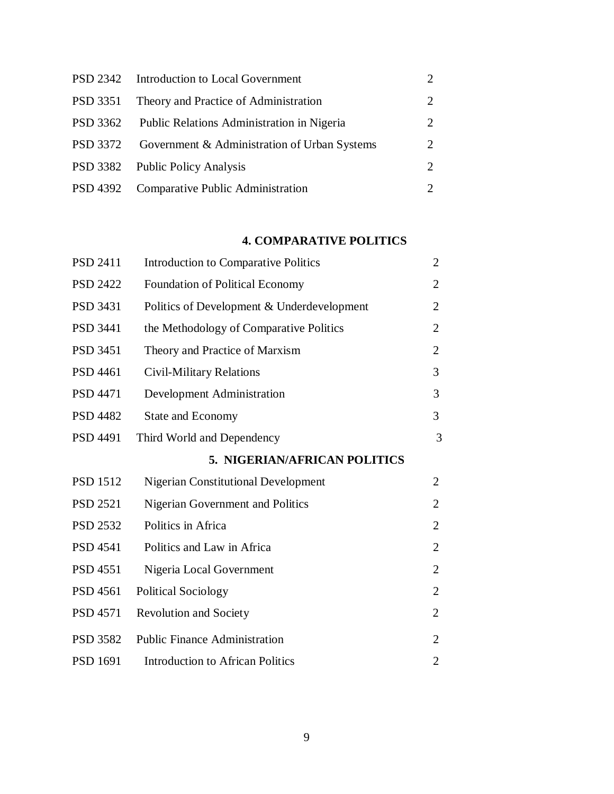|          | PSD 2342 Introduction to Local Government    |                       |
|----------|----------------------------------------------|-----------------------|
| PSD 3351 | Theory and Practice of Administration        |                       |
| PSD 3362 | Public Relations Administration in Nigeria   | $\mathcal{D}_{\cdot}$ |
| PSD 3372 | Government & Administration of Urban Systems | $\mathcal{D}_{\cdot}$ |
|          | PSD 3382 Public Policy Analysis              | $2^{\circ}$           |
|          | PSD 4392 Comparative Public Administration   |                       |

# **4. COMPARATIVE POLITICS**

| <b>PSD 2411</b> | <b>Introduction to Comparative Politics</b> | $\overline{2}$ |
|-----------------|---------------------------------------------|----------------|
| <b>PSD 2422</b> | Foundation of Political Economy             | 2              |
| <b>PSD 3431</b> | Politics of Development & Underdevelopment  | 2              |
| <b>PSD 3441</b> | the Methodology of Comparative Politics     | 2              |
| <b>PSD 3451</b> | Theory and Practice of Marxism              | $\overline{2}$ |
| <b>PSD 4461</b> | <b>Civil-Military Relations</b>             | 3              |
| <b>PSD 4471</b> | Development Administration                  | 3              |
| <b>PSD 4482</b> | <b>State and Economy</b>                    | 3              |
| <b>PSD 4491</b> | Third World and Dependency                  | 3              |
|                 | 5. NIGERIAN/AFRICAN POLITICS                |                |
| <b>PSD 1512</b> | <b>Nigerian Constitutional Development</b>  | $\overline{2}$ |
| <b>PSD 2521</b> | Nigerian Government and Politics            | 2              |
| <b>PSD 2532</b> | Politics in Africa                          | $\overline{2}$ |
| <b>PSD 4541</b> | Politics and Law in Africa                  | 2              |
| <b>PSD 4551</b> | Nigeria Local Government                    | 2              |
| <b>PSD 4561</b> | <b>Political Sociology</b>                  | $\overline{2}$ |
| <b>PSD 4571</b> | <b>Revolution and Society</b>               | $\overline{2}$ |
| <b>PSD 3582</b> | <b>Public Finance Administration</b>        | 2              |
| <b>PSD 1691</b> | <b>Introduction to African Politics</b>     | $\overline{2}$ |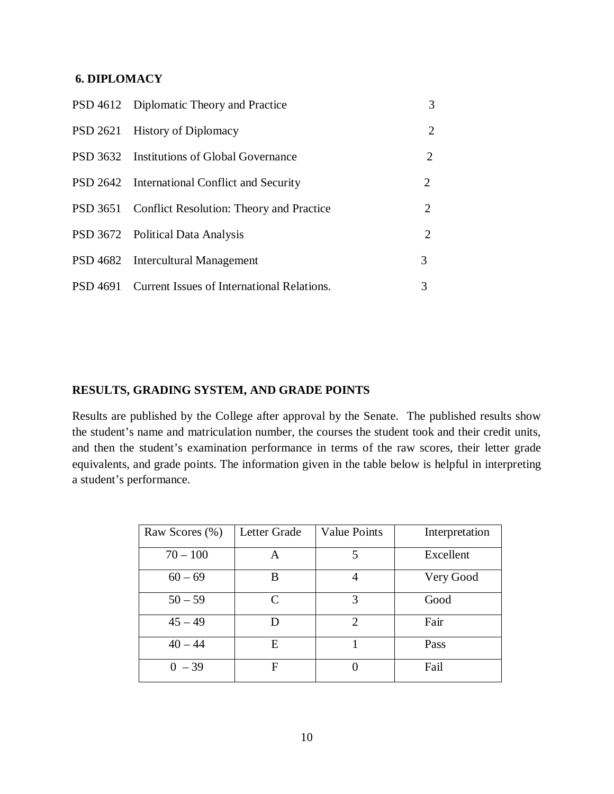## **6. DIPLOMACY**

| PSD 4612 Diplomatic Theory and Practice             | 3 |
|-----------------------------------------------------|---|
| PSD 2621 History of Diplomacy                       | 2 |
| <b>PSD</b> 3632 Institutions of Global Governance   | 2 |
| PSD 2642 International Conflict and Security        | 2 |
| PSD 3651 Conflict Resolution: Theory and Practice   | 2 |
| PSD 3672 Political Data Analysis                    | 2 |
| PSD 4682 Intercultural Management                   | 3 |
| PSD 4691 Current Issues of International Relations. | 3 |

# **RESULTS, GRADING SYSTEM, AND GRADE POINTS**

Results are published by the College after approval by the Senate. The published results show the student's name and matriculation number, the courses the student took and their credit units, and then the student's examination performance in terms of the raw scores, their letter grade equivalents, and grade points. The information given in the table below is helpful in interpreting a student's performance.

| Raw Scores (%) | Letter Grade | <b>Value Points</b> | Interpretation |
|----------------|--------------|---------------------|----------------|
| $70 - 100$     | A            | 5                   | Excellent      |
| $60 - 69$      | B            |                     | Very Good      |
| $50 - 59$      | C            | 3                   | Good           |
| $45 - 49$      | D            | 2                   | Fair           |
| $40 - 44$      | E            |                     | Pass           |
| $0 - 39$       | F            |                     | Fail           |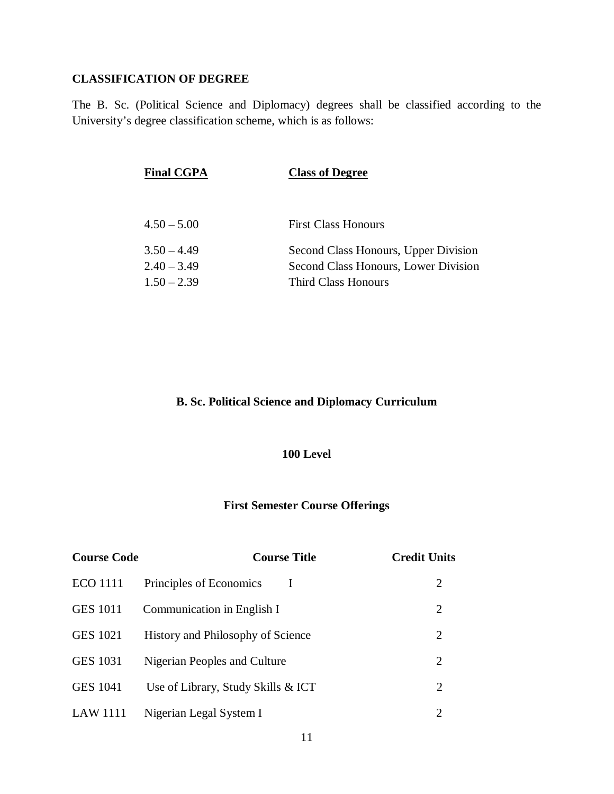## **CLASSIFICATION OF DEGREE**

The B. Sc. (Political Science and Diplomacy) degrees shall be classified according to the University's degree classification scheme, which is as follows:

| <b>Final CGPA</b> | <b>Class of Degree</b>               |
|-------------------|--------------------------------------|
|                   |                                      |
| $4.50 - 5.00$     | <b>First Class Honours</b>           |
| $3.50 - 4.49$     | Second Class Honours, Upper Division |
| $2.40 - 3.49$     | Second Class Honours, Lower Division |
| $1.50 - 2.39$     | <b>Third Class Honours</b>           |

# **B. Sc. Political Science and Diplomacy Curriculum**

### **100 Level**

# **First Semester Course Offerings**

| <b>Course Code</b> | <b>Course Title</b>                | <b>Credit Units</b> |
|--------------------|------------------------------------|---------------------|
| <b>ECO</b> 1111    | Principles of Economics            | 2                   |
| <b>GES 1011</b>    | Communication in English I         | 2                   |
| <b>GES 1021</b>    | History and Philosophy of Science  | 2                   |
| <b>GES 1031</b>    | Nigerian Peoples and Culture       | 2                   |
| <b>GES 1041</b>    | Use of Library, Study Skills & ICT | 2                   |
| LAW 1111           | Nigerian Legal System I            | 2                   |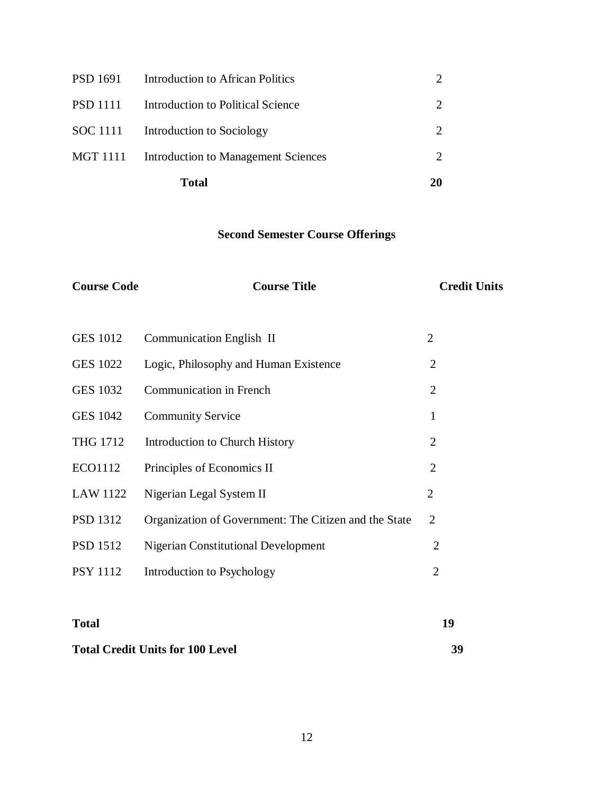|                 | Total                                        | 20                          |
|-----------------|----------------------------------------------|-----------------------------|
|                 | MGT 1111 Introduction to Management Sciences | $\mathcal{D}_{\mathcal{L}}$ |
|                 | SOC 1111 Introduction to Sociology           | $\mathcal{D}_{\mathcal{L}}$ |
| <b>PSD</b> 1111 | Introduction to Political Science            |                             |
| PSD 1691        | Introduction to African Politics             |                             |

# **Second Semester Course Offerings**

| <b>Course Code</b> | <b>Course Title</b>                                   | <b>Credit Units</b> |
|--------------------|-------------------------------------------------------|---------------------|
|                    |                                                       |                     |
| <b>GES 1012</b>    | Communication English II                              | $\overline{2}$      |
| <b>GES 1022</b>    | Logic, Philosophy and Human Existence                 | $\overline{2}$      |
| <b>GES 1032</b>    | <b>Communication in French</b>                        | $\overline{2}$      |
| <b>GES 1042</b>    | <b>Community Service</b>                              | $\mathbf{1}$        |
| <b>THG 1712</b>    | <b>Introduction to Church History</b>                 | $\overline{2}$      |
| ECO1112            | Principles of Economics II                            | $\overline{2}$      |
| <b>LAW 1122</b>    | Nigerian Legal System II                              | $\overline{2}$      |
| <b>PSD 1312</b>    | Organization of Government: The Citizen and the State | $\overline{2}$      |
| <b>PSD 1512</b>    | <b>Nigerian Constitutional Development</b>            | $\overline{2}$      |
| <b>PSY 1112</b>    | Introduction to Psychology                            | $\overline{2}$      |
|                    |                                                       |                     |
|                    |                                                       |                     |

# **Total Credit Units for 100 Level 39**

**Total 19**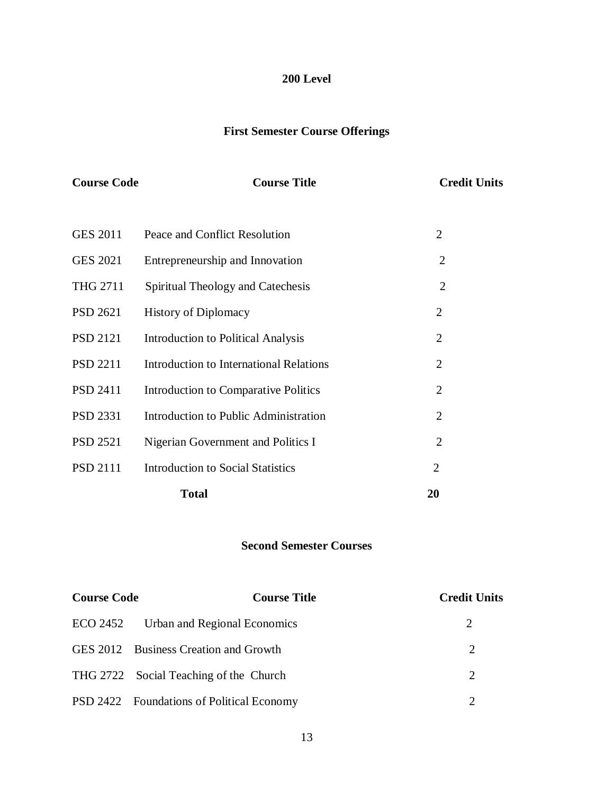# **200 Level**

# **First Semester Course Offerings**

| <b>Course Code</b> | <b>Course Title</b>                       | <b>Credit Units</b> |
|--------------------|-------------------------------------------|---------------------|
|                    |                                           |                     |
| <b>GES 2011</b>    | Peace and Conflict Resolution             | $\overline{2}$      |
| <b>GES 2021</b>    | Entrepreneurship and Innovation           | $\overline{2}$      |
| <b>THG 2711</b>    | Spiritual Theology and Catechesis         | $\overline{2}$      |
| <b>PSD 2621</b>    | <b>History of Diplomacy</b>               | $\overline{2}$      |
| <b>PSD 2121</b>    | <b>Introduction to Political Analysis</b> | $\overline{2}$      |
| <b>PSD 2211</b>    | Introduction to International Relations   | $\overline{2}$      |
| <b>PSD 2411</b>    | Introduction to Comparative Politics      | $\overline{2}$      |
| PSD 2331           | Introduction to Public Administration     | $\overline{2}$      |
| <b>PSD 2521</b>    | Nigerian Government and Politics I        | $\overline{2}$      |
| <b>PSD 2111</b>    | <b>Introduction to Social Statistics</b>  | $\overline{2}$      |
|                    | <b>Total</b>                              | 20                  |

# **Second Semester Courses**

| <b>Course Code</b> | <b>Course Title</b>                       | <b>Credit Units</b> |
|--------------------|-------------------------------------------|---------------------|
|                    | ECO 2452 Urban and Regional Economics     | 2                   |
|                    | GES 2012 Business Creation and Growth     | 2                   |
|                    | THG 2722 Social Teaching of the Church    | 2                   |
|                    | PSD 2422 Foundations of Political Economy |                     |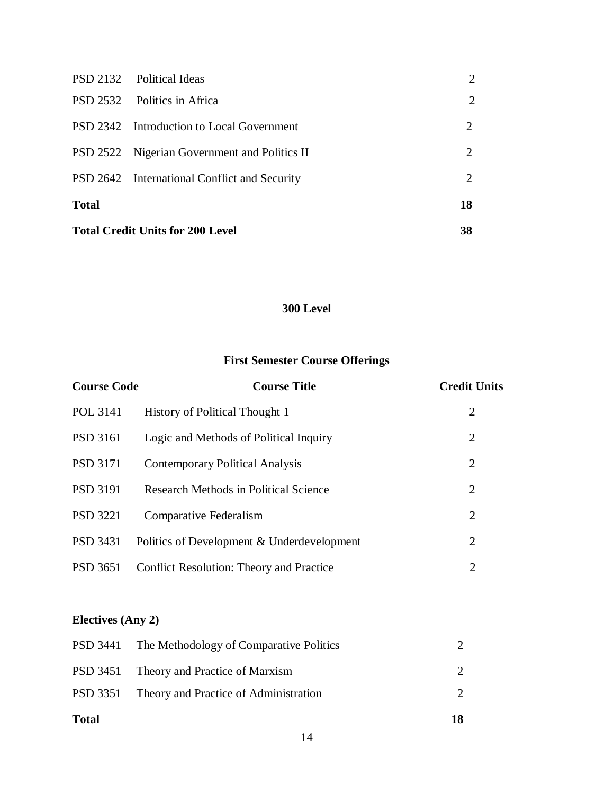| <b>Total Credit Units for 200 Level</b> |                                              | 38                          |
|-----------------------------------------|----------------------------------------------|-----------------------------|
| <b>Total</b>                            |                                              | 18                          |
|                                         | PSD 2642 International Conflict and Security | $\mathcal{D}_{\mathcal{L}}$ |
|                                         | PSD 2522 Nigerian Government and Politics II | 2                           |
|                                         | PSD 2342 Introduction to Local Government    | 2                           |
|                                         | PSD 2532 Politics in Africa                  | $\overline{2}$              |
|                                         | PSD 2132 Political Ideas                     | $\mathcal{D}_{\mathcal{L}}$ |

# **300 Level**

# **First Semester Course Offerings**

| <b>Course Code</b> | <b>Course Title</b>                             | <b>Credit Units</b> |
|--------------------|-------------------------------------------------|---------------------|
| POL 3141           | <b>History of Political Thought 1</b>           | 2                   |
| <b>PSD</b> 3161    | Logic and Methods of Political Inquiry          | 2                   |
| <b>PSD 3171</b>    | <b>Contemporary Political Analysis</b>          | 2                   |
| <b>PSD 3191</b>    | <b>Research Methods in Political Science</b>    | 2                   |
| <b>PSD</b> 3221    | Comparative Federalism                          | 2                   |
| <b>PSD 3431</b>    | Politics of Development & Underdevelopment      | 2                   |
| <b>PSD</b> 3651    | <b>Conflict Resolution: Theory and Practice</b> | 2                   |

# **Electives (Any 2)**

| <b>Total</b> |                                                  | 18 |
|--------------|--------------------------------------------------|----|
|              | PSD 3351 Theory and Practice of Administration   |    |
|              | PSD 3451 Theory and Practice of Marxism          |    |
|              | PSD 3441 The Methodology of Comparative Politics |    |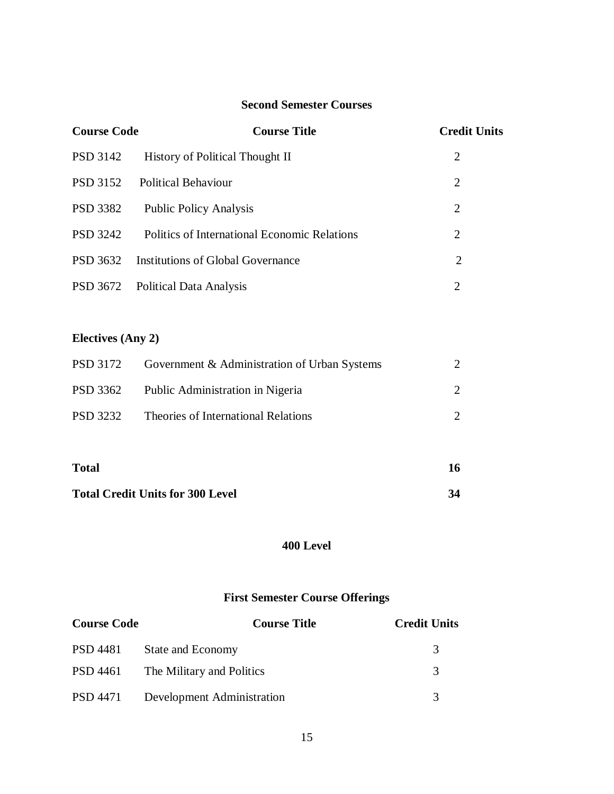# **Second Semester Courses**

| <b>Course Code</b> | <b>Course Title</b>                          | <b>Credit Units</b> |
|--------------------|----------------------------------------------|---------------------|
| PSD 3142           | <b>History of Political Thought II</b>       | 2                   |
| <b>PSD</b> 3152    | <b>Political Behaviour</b>                   | 2                   |
| PSD 3382           | <b>Public Policy Analysis</b>                | 2                   |
| <b>PSD</b> 3242    | Politics of International Economic Relations | 2                   |
| PSD 3632           | Institutions of Global Governance            | 2                   |
| PSD 3672           | <b>Political Data Analysis</b>               | 2                   |

# **Electives (Any 2)**

| PSD 3172 | Government & Administration of Urban Systems |  |
|----------|----------------------------------------------|--|
| PSD 3362 | Public Administration in Nigeria             |  |
| PSD 3232 | Theories of International Relations          |  |

| <b>Total</b>                            | 16 |
|-----------------------------------------|----|
| <b>Total Credit Units for 300 Level</b> | 34 |

# **400 Level**

# **First Semester Course Offerings**

| <b>Course Code</b> | <b>Course Title</b>                | <b>Credit Units</b> |
|--------------------|------------------------------------|---------------------|
| PSD 4481           | <b>State and Economy</b>           | 3                   |
|                    | PSD 4461 The Military and Politics | $\mathcal{R}$       |
| PSD 4471           | <b>Development Administration</b>  | $\mathcal{R}$       |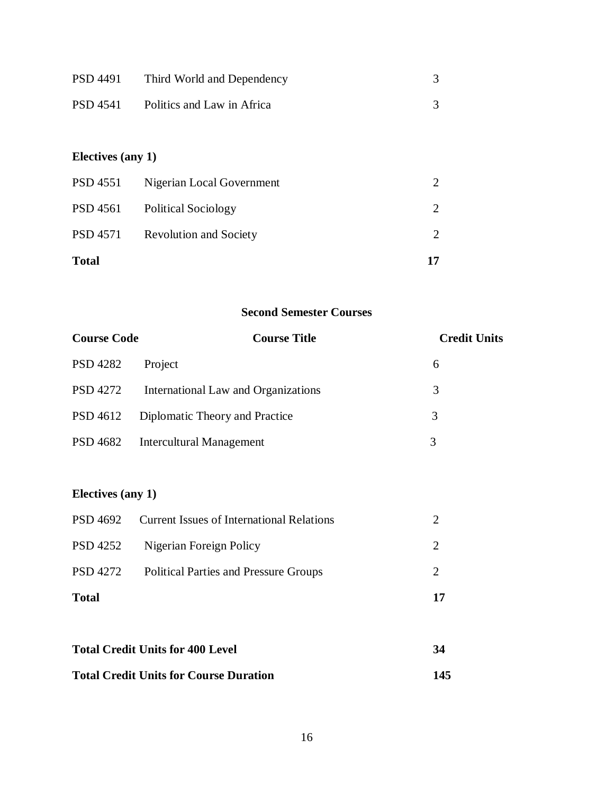| <b>PSD 4491</b>   | Third World and Dependency    | 3                           |
|-------------------|-------------------------------|-----------------------------|
| <b>PSD 4541</b>   | Politics and Law in Africa    | 3                           |
|                   |                               |                             |
| Electives (any 1) |                               |                             |
| <b>PSD 4551</b>   | Nigerian Local Government     | 2                           |
| <b>PSD 4561</b>   | <b>Political Sociology</b>    | $\mathcal{D}_{\mathcal{L}}$ |
| <b>PSD 4571</b>   | <b>Revolution and Society</b> | 2                           |
| <b>Total</b>      |                               | 17                          |

# **Second Semester Courses**

| <b>Course Code</b>                      | <b>Course Title</b>                              | <b>Credit Units</b> |
|-----------------------------------------|--------------------------------------------------|---------------------|
| <b>PSD 4282</b>                         | Project                                          | 6                   |
| <b>PSD 4272</b>                         | International Law and Organizations              | 3                   |
| PSD 4612                                | Diplomatic Theory and Practice                   | 3                   |
| <b>PSD 4682</b>                         | <b>Intercultural Management</b>                  | 3                   |
|                                         |                                                  |                     |
| <b>Electives (any 1)</b>                |                                                  |                     |
| PSD 4692                                | <b>Current Issues of International Relations</b> | $\overline{2}$      |
| <b>PSD 4252</b>                         | Nigerian Foreign Policy                          | $\overline{2}$      |
| <b>PSD 4272</b>                         | <b>Political Parties and Pressure Groups</b>     | $\overline{2}$      |
| <b>Total</b>                            |                                                  | 17                  |
|                                         |                                                  |                     |
| <b>Total Credit Units for 400 Level</b> |                                                  | 34                  |

16

**Total Credit Units for Course Duration 145**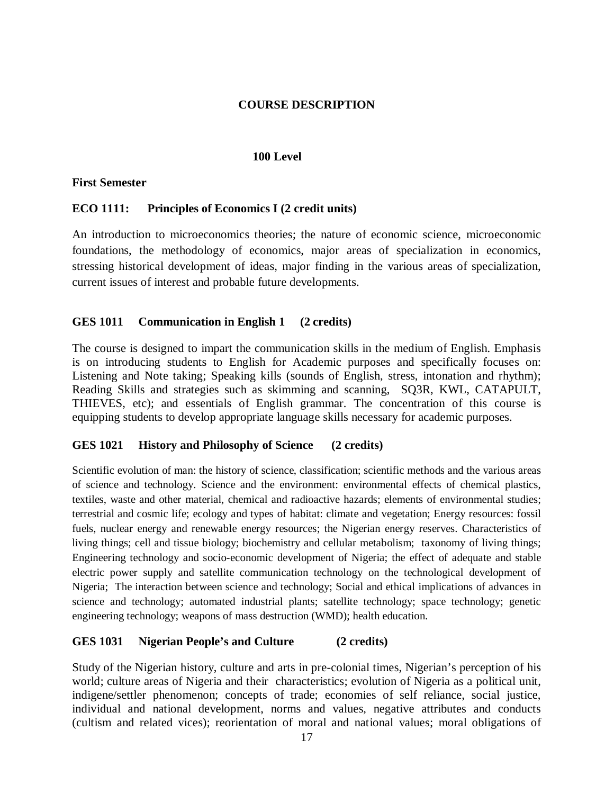## **COURSE DESCRIPTION**

### **100 Level**

### **First Semester**

### **ECO 1111: Principles of Economics I (2 credit units)**

An introduction to microeconomics theories; the nature of economic science, microeconomic foundations, the methodology of economics, major areas of specialization in economics, stressing historical development of ideas, major finding in the various areas of specialization, current issues of interest and probable future developments.

# **GES 1011 Communication in English 1 (2 credits)**

The course is designed to impart the communication skills in the medium of English. Emphasis is on introducing students to English for Academic purposes and specifically focuses on: Listening and Note taking; Speaking kills (sounds of English, stress, intonation and rhythm); Reading Skills and strategies such as skimming and scanning, SQ3R, KWL, CATAPULT, THIEVES, etc); and essentials of English grammar. The concentration of this course is equipping students to develop appropriate language skills necessary for academic purposes.

### **GES 1021 History and Philosophy of Science (2 credits)**

Scientific evolution of man: the history of science, classification; scientific methods and the various areas of science and technology. Science and the environment: environmental effects of chemical plastics, textiles, waste and other material, chemical and radioactive hazards; elements of environmental studies; terrestrial and cosmic life; ecology and types of habitat: climate and vegetation; Energy resources: fossil fuels, nuclear energy and renewable energy resources; the Nigerian energy reserves. Characteristics of living things; cell and tissue biology; biochemistry and cellular metabolism; taxonomy of living things; Engineering technology and socio-economic development of Nigeria; the effect of adequate and stable electric power supply and satellite communication technology on the technological development of Nigeria; The interaction between science and technology; Social and ethical implications of advances in science and technology; automated industrial plants; satellite technology; space technology; genetic engineering technology; weapons of mass destruction (WMD); health education.

### **GES 1031 Nigerian People's and Culture (2 credits)**

Study of the Nigerian history, culture and arts in pre-colonial times, Nigerian's perception of his world; culture areas of Nigeria and their characteristics; evolution of Nigeria as a political unit, indigene/settler phenomenon; concepts of trade; economies of self reliance, social justice, individual and national development, norms and values, negative attributes and conducts (cultism and related vices); reorientation of moral and national values; moral obligations of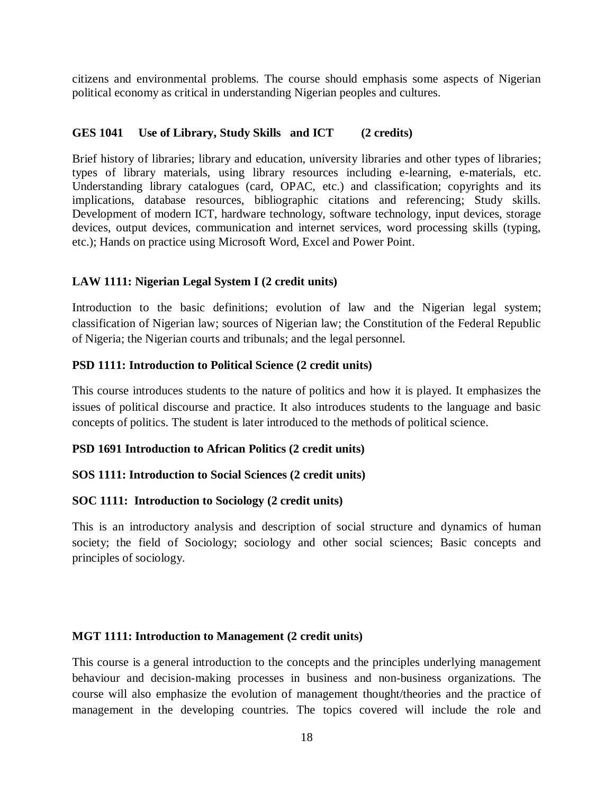citizens and environmental problems. The course should emphasis some aspects of Nigerian political economy as critical in understanding Nigerian peoples and cultures.

# **GES 1041 Use of Library, Study Skills and ICT (2 credits)**

Brief history of libraries; library and education, university libraries and other types of libraries; types of library materials, using library resources including e-learning, e-materials, etc. Understanding library catalogues (card, OPAC, etc.) and classification; copyrights and its implications, database resources, bibliographic citations and referencing; Study skills. Development of modern ICT, hardware technology, software technology, input devices, storage devices, output devices, communication and internet services, word processing skills (typing, etc.); Hands on practice using Microsoft Word, Excel and Power Point.

## **LAW 1111: Nigerian Legal System I (2 credit units)**

Introduction to the basic definitions; evolution of law and the Nigerian legal system; classification of Nigerian law; sources of Nigerian law; the Constitution of the Federal Republic of Nigeria; the Nigerian courts and tribunals; and the legal personnel.

## **PSD 1111: Introduction to Political Science (2 credit units)**

This course introduces students to the nature of politics and how it is played. It emphasizes the issues of political discourse and practice. It also introduces students to the language and basic concepts of politics. The student is later introduced to the methods of political science.

### **PSD 1691 Introduction to African Politics (2 credit units)**

### **SOS 1111: Introduction to Social Sciences (2 credit units)**

### **SOC 1111: Introduction to Sociology (2 credit units)**

This is an introductory analysis and description of social structure and dynamics of human society; the field of Sociology; sociology and other social sciences; Basic concepts and principles of sociology.

### **MGT 1111: Introduction to Management (2 credit units)**

This course is a general introduction to the concepts and the principles underlying management behaviour and decision-making processes in business and non-business organizations. The course will also emphasize the evolution of management thought/theories and the practice of management in the developing countries. The topics covered will include the role and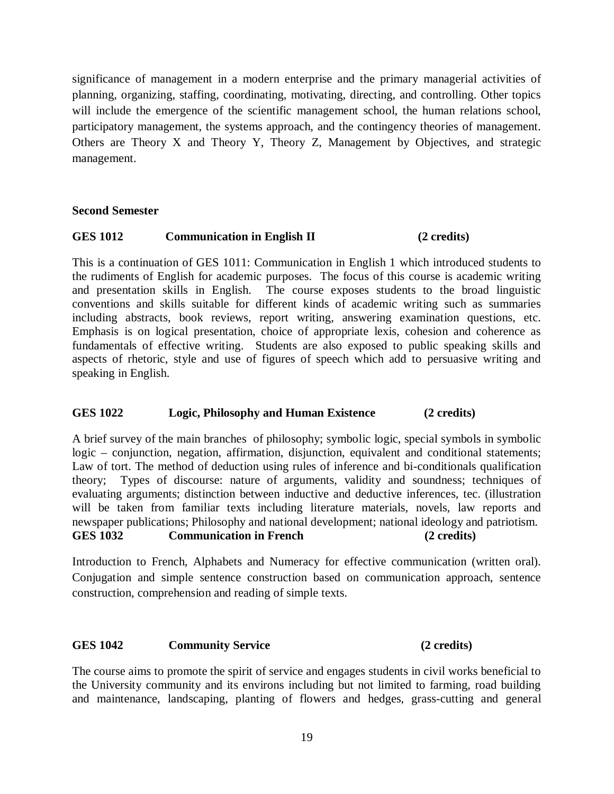significance of management in a modern enterprise and the primary managerial activities of planning, organizing, staffing, coordinating, motivating, directing, and controlling. Other topics will include the emergence of the scientific management school, the human relations school, participatory management, the systems approach, and the contingency theories of management. Others are Theory X and Theory Y, Theory Z, Management by Objectives, and strategic management.

### **Second Semester**

### **GES 1012 Communication in English II (2 credits)**

This is a continuation of GES 1011: Communication in English 1 which introduced students to the rudiments of English for academic purposes. The focus of this course is academic writing and presentation skills in English. The course exposes students to the broad linguistic conventions and skills suitable for different kinds of academic writing such as summaries including abstracts, book reviews, report writing, answering examination questions, etc. Emphasis is on logical presentation, choice of appropriate lexis, cohesion and coherence as fundamentals of effective writing. Students are also exposed to public speaking skills and aspects of rhetoric, style and use of figures of speech which add to persuasive writing and speaking in English.

### **GES 1022 Logic, Philosophy and Human Existence (2 credits)**

A brief survey of the main branches of philosophy; symbolic logic, special symbols in symbolic logic – conjunction, negation, affirmation, disjunction, equivalent and conditional statements; Law of tort. The method of deduction using rules of inference and bi-conditionals qualification theory; Types of discourse: nature of arguments, validity and soundness; techniques of evaluating arguments; distinction between inductive and deductive inferences, tec. (illustration will be taken from familiar texts including literature materials, novels, law reports and newspaper publications; Philosophy and national development; national ideology and patriotism. **GES 1032 Communication in French (2 credits)**

Introduction to French, Alphabets and Numeracy for effective communication (written oral). Conjugation and simple sentence construction based on communication approach, sentence construction, comprehension and reading of simple texts.

### **GES 1042 Community Service (2 credits)**

The course aims to promote the spirit of service and engages students in civil works beneficial to the University community and its environs including but not limited to farming, road building and maintenance, landscaping, planting of flowers and hedges, grass-cutting and general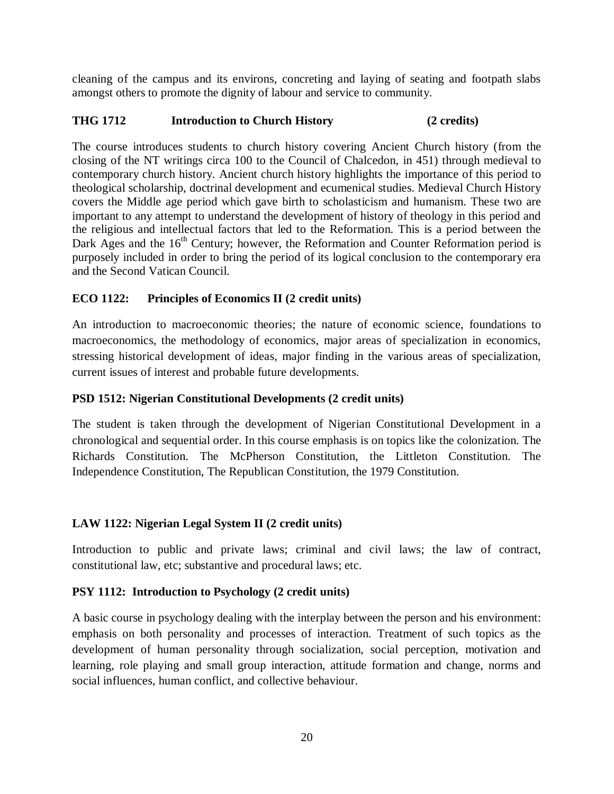cleaning of the campus and its environs, concreting and laying of seating and footpath slabs amongst others to promote the dignity of labour and service to community.

# **THG 1712 Introduction to Church History (2 credits)**

The course introduces students to church history covering Ancient Church history (from the closing of the NT writings circa 100 to the Council of Chalcedon, in 451) through medieval to contemporary church history. Ancient church history highlights the importance of this period to theological scholarship, doctrinal development and ecumenical studies. Medieval Church History covers the Middle age period which gave birth to scholasticism and humanism. These two are important to any attempt to understand the development of history of theology in this period and the religious and intellectual factors that led to the Reformation. This is a period between the Dark Ages and the  $16<sup>th</sup>$  Century; however, the Reformation and Counter Reformation period is purposely included in order to bring the period of its logical conclusion to the contemporary era and the Second Vatican Council.

# **ECO 1122: Principles of Economics II (2 credit units)**

An introduction to macroeconomic theories; the nature of economic science, foundations to macroeconomics, the methodology of economics, major areas of specialization in economics, stressing historical development of ideas, major finding in the various areas of specialization, current issues of interest and probable future developments.

# **PSD 1512: Nigerian Constitutional Developments (2 credit units)**

The student is taken through the development of Nigerian Constitutional Development in a chronological and sequential order. In this course emphasis is on topics like the colonization. The Richards Constitution. The McPherson Constitution, the Littleton Constitution. The Independence Constitution, The Republican Constitution, the 1979 Constitution.

# **LAW 1122: Nigerian Legal System II (2 credit units)**

Introduction to public and private laws; criminal and civil laws; the law of contract, constitutional law, etc; substantive and procedural laws; etc.

# **PSY 1112: Introduction to Psychology (2 credit units)**

A basic course in psychology dealing with the interplay between the person and his environment: emphasis on both personality and processes of interaction. Treatment of such topics as the development of human personality through socialization, social perception, motivation and learning, role playing and small group interaction, attitude formation and change, norms and social influences, human conflict, and collective behaviour.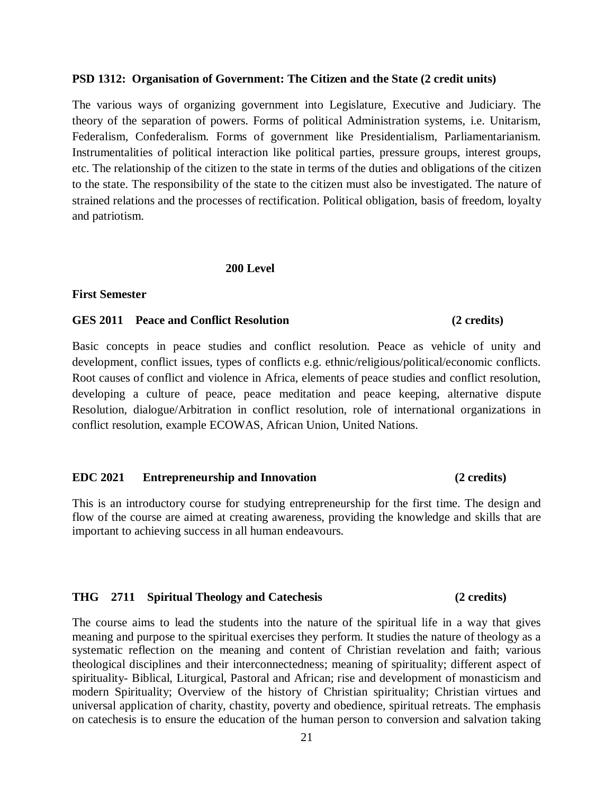### **PSD 1312: Organisation of Government: The Citizen and the State (2 credit units)**

The various ways of organizing government into Legislature, Executive and Judiciary. The theory of the separation of powers. Forms of political Administration systems, i.e. Unitarism, Federalism, Confederalism. Forms of government like Presidentialism, Parliamentarianism. Instrumentalities of political interaction like political parties, pressure groups, interest groups, etc. The relationship of the citizen to the state in terms of the duties and obligations of the citizen to the state. The responsibility of the state to the citizen must also be investigated. The nature of strained relations and the processes of rectification. Political obligation, basis of freedom, loyalty and patriotism.

### **200 Level**

### **First Semester**

### **GES 2011 Peace and Conflict Resolution (2 credits)**

Basic concepts in peace studies and conflict resolution. Peace as vehicle of unity and development, conflict issues, types of conflicts e.g. ethnic/religious/political/economic conflicts. Root causes of conflict and violence in Africa, elements of peace studies and conflict resolution, developing a culture of peace, peace meditation and peace keeping, alternative dispute Resolution, dialogue/Arbitration in conflict resolution, role of international organizations in conflict resolution, example ECOWAS, African Union, United Nations.

### **EDC 2021 Entrepreneurship and Innovation (2 credits)**

This is an introductory course for studying entrepreneurship for the first time. The design and flow of the course are aimed at creating awareness, providing the knowledge and skills that are important to achieving success in all human endeavours.

### **THG 2711 Spiritual Theology and Catechesis (2 credits)**

The course aims to lead the students into the nature of the spiritual life in a way that gives meaning and purpose to the spiritual exercises they perform. It studies the nature of theology as a systematic reflection on the meaning and content of Christian revelation and faith; various theological disciplines and their interconnectedness; meaning of spirituality; different aspect of spirituality- Biblical, Liturgical, Pastoral and African; rise and development of monasticism and modern Spirituality; Overview of the history of Christian spirituality; Christian virtues and universal application of charity, chastity, poverty and obedience, spiritual retreats. The emphasis on catechesis is to ensure the education of the human person to conversion and salvation taking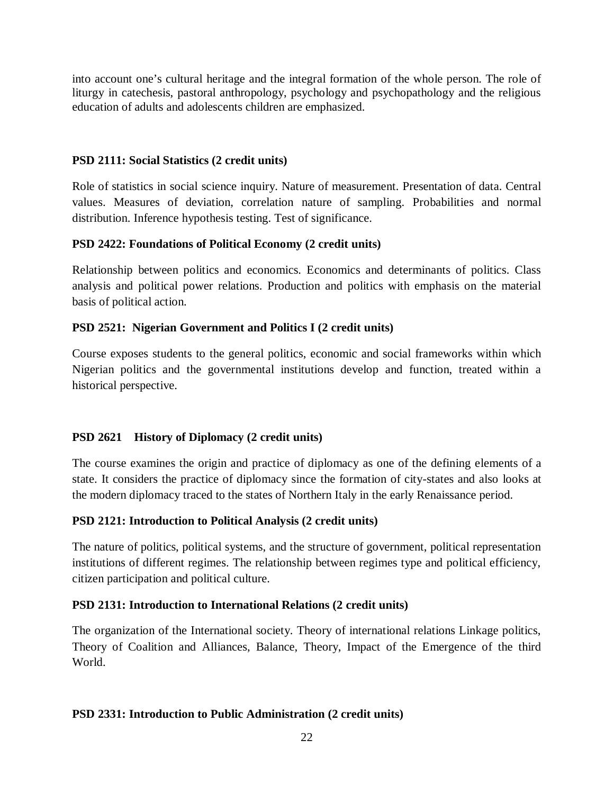into account one's cultural heritage and the integral formation of the whole person. The role of liturgy in catechesis, pastoral anthropology, psychology and psychopathology and the religious education of adults and adolescents children are emphasized.

# **PSD 2111: Social Statistics (2 credit units)**

Role of statistics in social science inquiry. Nature of measurement. Presentation of data. Central values. Measures of deviation, correlation nature of sampling. Probabilities and normal distribution. Inference hypothesis testing. Test of significance.

# **PSD 2422: Foundations of Political Economy (2 credit units)**

Relationship between politics and economics. Economics and determinants of politics. Class analysis and political power relations. Production and politics with emphasis on the material basis of political action.

# **PSD 2521: Nigerian Government and Politics I (2 credit units)**

Course exposes students to the general politics, economic and social frameworks within which Nigerian politics and the governmental institutions develop and function, treated within a historical perspective.

# **PSD 2621 History of Diplomacy (2 credit units)**

The course examines the origin and practice of diplomacy as one of the defining elements of a state. It considers the practice of diplomacy since the formation of city-states and also looks at the modern diplomacy traced to the states of Northern Italy in the early Renaissance period.

# **PSD 2121: Introduction to Political Analysis (2 credit units)**

The nature of politics, political systems, and the structure of government, political representation institutions of different regimes. The relationship between regimes type and political efficiency, citizen participation and political culture.

# **PSD 2131: Introduction to International Relations (2 credit units)**

The organization of the International society. Theory of international relations Linkage politics, Theory of Coalition and Alliances, Balance, Theory, Impact of the Emergence of the third World.

# **PSD 2331: Introduction to Public Administration (2 credit units)**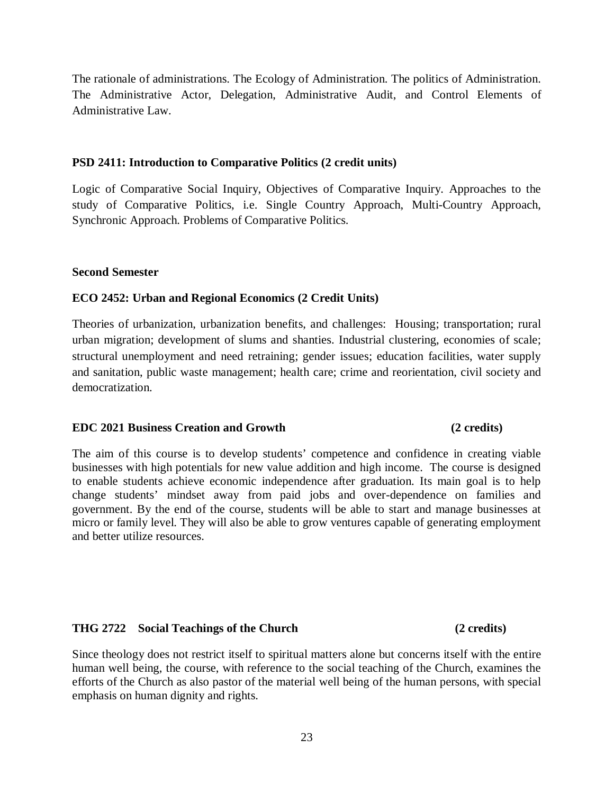The rationale of administrations. The Ecology of Administration. The politics of Administration. The Administrative Actor, Delegation, Administrative Audit, and Control Elements of Administrative Law.

### **PSD 2411: Introduction to Comparative Politics (2 credit units)**

Logic of Comparative Social Inquiry, Objectives of Comparative Inquiry. Approaches to the study of Comparative Politics, i.e. Single Country Approach, Multi-Country Approach, Synchronic Approach. Problems of Comparative Politics.

### **Second Semester**

### **ECO 2452: Urban and Regional Economics (2 Credit Units)**

Theories of urbanization, urbanization benefits, and challenges: Housing; transportation; rural urban migration; development of slums and shanties. Industrial clustering, economies of scale; structural unemployment and need retraining; gender issues; education facilities, water supply and sanitation, public waste management; health care; crime and reorientation, civil society and democratization.

### **EDC 2021 Business Creation and Growth (2 credits)**

## The aim of this course is to develop students' competence and confidence in creating viable businesses with high potentials for new value addition and high income. The course is designed to enable students achieve economic independence after graduation. Its main goal is to help change students' mindset away from paid jobs and over-dependence on families and government. By the end of the course, students will be able to start and manage businesses at micro or family level. They will also be able to grow ventures capable of generating employment and better utilize resources.

### **THG 2722 Social Teachings of the Church (2 credits)**

Since theology does not restrict itself to spiritual matters alone but concerns itself with the entire human well being, the course, with reference to the social teaching of the Church, examines the efforts of the Church as also pastor of the material well being of the human persons, with special emphasis on human dignity and rights.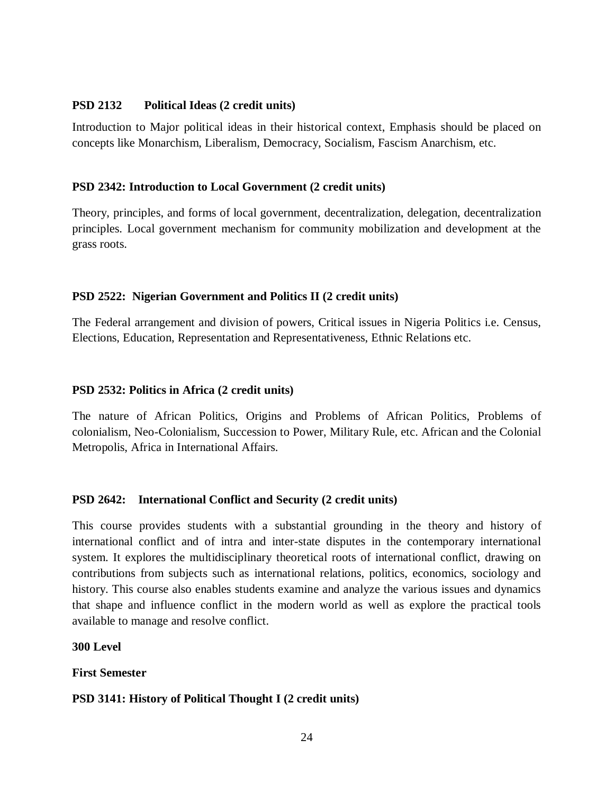## **PSD 2132 Political Ideas (2 credit units)**

Introduction to Major political ideas in their historical context, Emphasis should be placed on concepts like Monarchism, Liberalism, Democracy, Socialism, Fascism Anarchism, etc.

## **PSD 2342: Introduction to Local Government (2 credit units)**

Theory, principles, and forms of local government, decentralization, delegation, decentralization principles. Local government mechanism for community mobilization and development at the grass roots.

## **PSD 2522: Nigerian Government and Politics II (2 credit units)**

The Federal arrangement and division of powers, Critical issues in Nigeria Politics i.e. Census, Elections, Education, Representation and Representativeness, Ethnic Relations etc.

## **PSD 2532: Politics in Africa (2 credit units)**

The nature of African Politics, Origins and Problems of African Politics, Problems of colonialism, Neo-Colonialism, Succession to Power, Military Rule, etc. African and the Colonial Metropolis, Africa in International Affairs.

# **PSD 2642: International Conflict and Security (2 credit units)**

This course provides students with a substantial grounding in the theory and history of international conflict and of intra and inter-state disputes in the contemporary international system. It explores the multidisciplinary theoretical roots of international conflict, drawing on contributions from subjects such as international relations, politics, economics, sociology and history. This course also enables students examine and analyze the various issues and dynamics that shape and influence conflict in the modern world as well as explore the practical tools available to manage and resolve conflict.

### **300 Level**

**First Semester**

### **PSD 3141: History of Political Thought I (2 credit units)**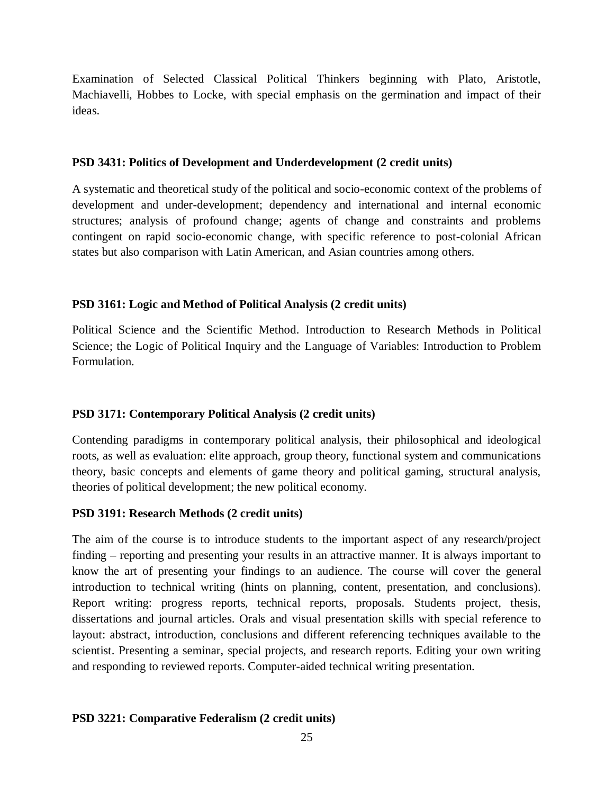Examination of Selected Classical Political Thinkers beginning with Plato, Aristotle, Machiavelli, Hobbes to Locke, with special emphasis on the germination and impact of their ideas.

### **PSD 3431: Politics of Development and Underdevelopment (2 credit units)**

A systematic and theoretical study of the political and socio-economic context of the problems of development and under-development; dependency and international and internal economic structures; analysis of profound change; agents of change and constraints and problems contingent on rapid socio-economic change, with specific reference to post-colonial African states but also comparison with Latin American, and Asian countries among others.

## **PSD 3161: Logic and Method of Political Analysis (2 credit units)**

Political Science and the Scientific Method. Introduction to Research Methods in Political Science; the Logic of Political Inquiry and the Language of Variables: Introduction to Problem Formulation.

# **PSD 3171: Contemporary Political Analysis (2 credit units)**

Contending paradigms in contemporary political analysis, their philosophical and ideological roots, as well as evaluation: elite approach, group theory, functional system and communications theory, basic concepts and elements of game theory and political gaming, structural analysis, theories of political development; the new political economy.

### **PSD 3191: Research Methods (2 credit units)**

The aim of the course is to introduce students to the important aspect of any research/project finding – reporting and presenting your results in an attractive manner. It is always important to know the art of presenting your findings to an audience. The course will cover the general introduction to technical writing (hints on planning, content, presentation, and conclusions). Report writing: progress reports, technical reports, proposals. Students project, thesis, dissertations and journal articles. Orals and visual presentation skills with special reference to layout: abstract, introduction, conclusions and different referencing techniques available to the scientist. Presenting a seminar, special projects, and research reports. Editing your own writing and responding to reviewed reports. Computer-aided technical writing presentation.

### **PSD 3221: Comparative Federalism (2 credit units)**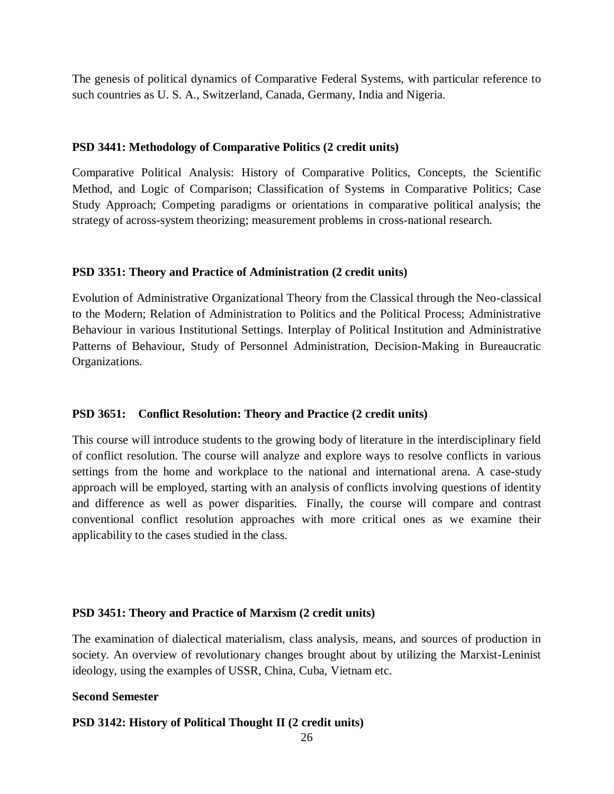The genesis of political dynamics of Comparative Federal Systems, with particular reference to such countries as U. S. A., Switzerland, Canada, Germany, India and Nigeria.

### **PSD 3441: Methodology of Comparative Politics (2 credit units)**

Comparative Political Analysis: History of Comparative Politics, Concepts, the Scientific Method, and Logic of Comparison; Classification of Systems in Comparative Politics; Case Study Approach; Competing paradigms or orientations in comparative political analysis; the strategy of across-system theorizing; measurement problems in cross-national research.

## **PSD 3351: Theory and Practice of Administration (2 credit units)**

Evolution of Administrative Organizational Theory from the Classical through the Neo-classical to the Modern; Relation of Administration to Politics and the Political Process; Administrative Behaviour in various Institutional Settings. Interplay of Political Institution and Administrative Patterns of Behaviour, Study of Personnel Administration, Decision-Making in Bureaucratic Organizations.

# **PSD 3651: Conflict Resolution: Theory and Practice (2 credit units)**

This course will introduce students to the growing body of literature in the interdisciplinary field of conflict resolution. The course will analyze and explore ways to resolve conflicts in various settings from the home and workplace to the national and international arena. A case-study approach will be employed, starting with an analysis of conflicts involving questions of identity and difference as well as power disparities. Finally, the course will compare and contrast conventional conflict resolution approaches with more critical ones as we examine their applicability to the cases studied in the class.

# **PSD 3451: Theory and Practice of Marxism (2 credit units)**

The examination of dialectical materialism, class analysis, means, and sources of production in society. An overview of revolutionary changes brought about by utilizing the Marxist-Leninist ideology, using the examples of USSR, China, Cuba, Vietnam etc.

### **Second Semester**

# **PSD 3142: History of Political Thought II (2 credit units)**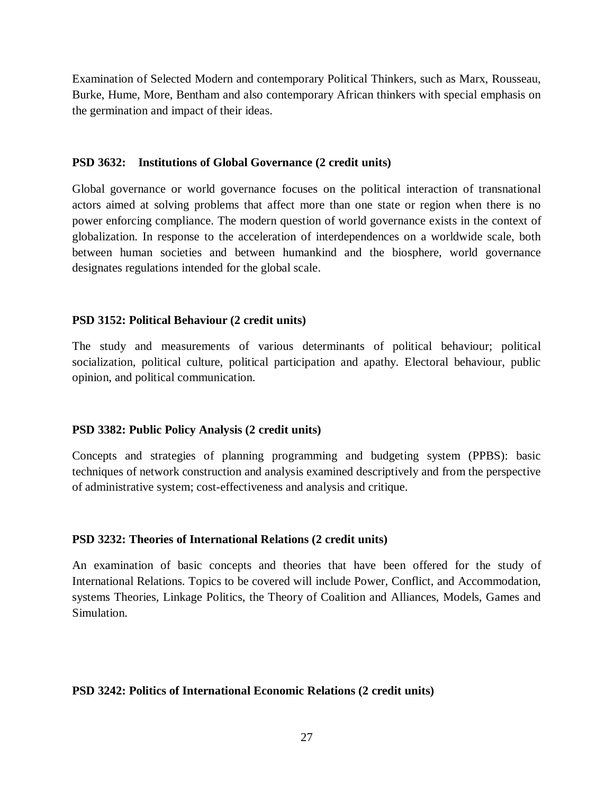Examination of Selected Modern and contemporary Political Thinkers, such as Marx, Rousseau, Burke, Hume, More, Bentham and also contemporary African thinkers with special emphasis on the germination and impact of their ideas.

### **PSD 3632: Institutions of Global Governance (2 credit units)**

Global governance or world governance focuses on the political interaction of transnational actors aimed at solving problems that affect more than one state or region when there is no power enforcing compliance. The modern question of world governance exists in the context of globalization. In response to the acceleration of interdependences on a worldwide scale, both between human societies and between humankind and the biosphere, world governance designates regulations intended for the global scale.

# **PSD 3152: Political Behaviour (2 credit units)**

The study and measurements of various determinants of political behaviour; political socialization, political culture, political participation and apathy. Electoral behaviour, public opinion, and political communication.

# **PSD 3382: Public Policy Analysis (2 credit units)**

Concepts and strategies of planning programming and budgeting system (PPBS): basic techniques of network construction and analysis examined descriptively and from the perspective of administrative system; cost-effectiveness and analysis and critique.

# **PSD 3232: Theories of International Relations (2 credit units)**

An examination of basic concepts and theories that have been offered for the study of International Relations. Topics to be covered will include Power, Conflict, and Accommodation, systems Theories, Linkage Politics, the Theory of Coalition and Alliances, Models, Games and Simulation.

### **PSD 3242: Politics of International Economic Relations (2 credit units)**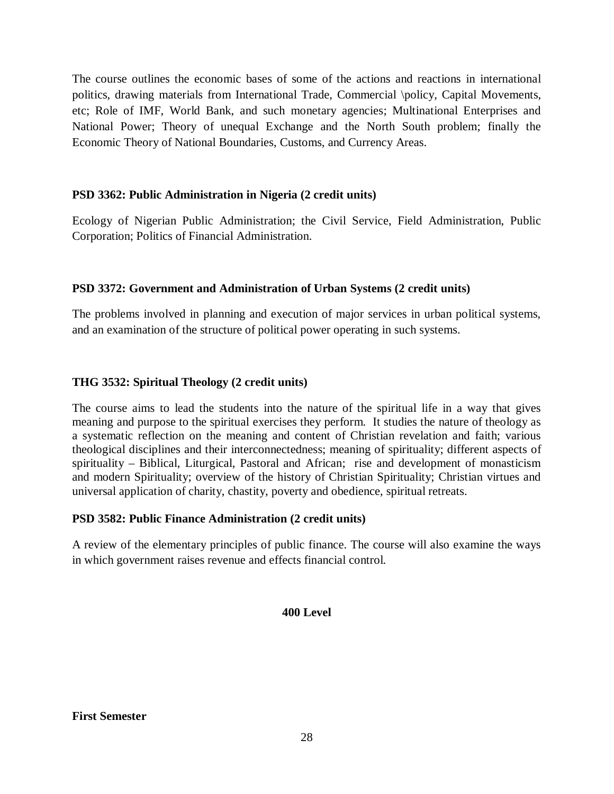The course outlines the economic bases of some of the actions and reactions in international politics, drawing materials from International Trade, Commercial \policy, Capital Movements, etc; Role of IMF, World Bank, and such monetary agencies; Multinational Enterprises and National Power; Theory of unequal Exchange and the North South problem; finally the Economic Theory of National Boundaries, Customs, and Currency Areas.

# **PSD 3362: Public Administration in Nigeria (2 credit units)**

Ecology of Nigerian Public Administration; the Civil Service, Field Administration, Public Corporation; Politics of Financial Administration.

# **PSD 3372: Government and Administration of Urban Systems (2 credit units)**

The problems involved in planning and execution of major services in urban political systems, and an examination of the structure of political power operating in such systems.

## **THG 3532: Spiritual Theology (2 credit units)**

The course aims to lead the students into the nature of the spiritual life in a way that gives meaning and purpose to the spiritual exercises they perform. It studies the nature of theology as a systematic reflection on the meaning and content of Christian revelation and faith; various theological disciplines and their interconnectedness; meaning of spirituality; different aspects of spirituality – Biblical, Liturgical, Pastoral and African; rise and development of monasticism and modern Spirituality; overview of the history of Christian Spirituality; Christian virtues and universal application of charity, chastity, poverty and obedience, spiritual retreats.

# **PSD 3582: Public Finance Administration (2 credit units)**

A review of the elementary principles of public finance. The course will also examine the ways in which government raises revenue and effects financial control.

### **400 Level**

**First Semester**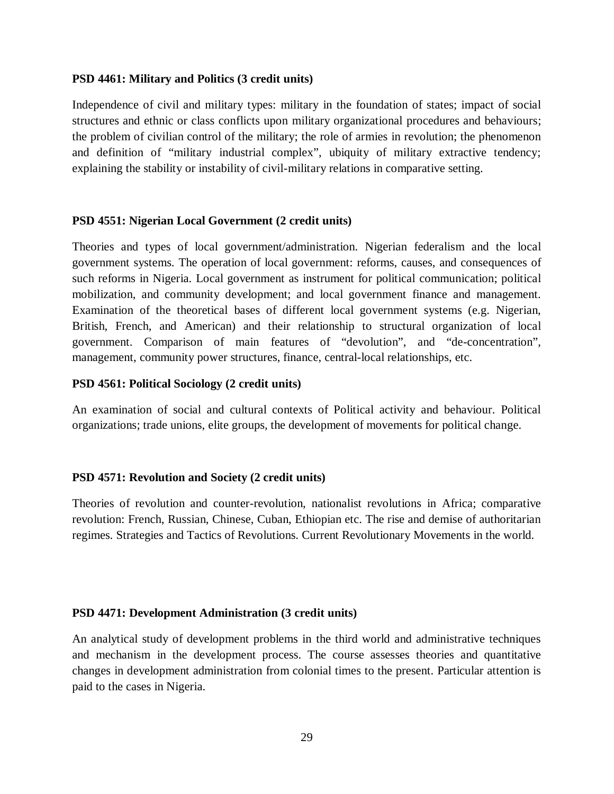### **PSD 4461: Military and Politics (3 credit units)**

Independence of civil and military types: military in the foundation of states; impact of social structures and ethnic or class conflicts upon military organizational procedures and behaviours; the problem of civilian control of the military; the role of armies in revolution; the phenomenon and definition of "military industrial complex", ubiquity of military extractive tendency; explaining the stability or instability of civil-military relations in comparative setting.

### **PSD 4551: Nigerian Local Government (2 credit units)**

Theories and types of local government/administration. Nigerian federalism and the local government systems. The operation of local government: reforms, causes, and consequences of such reforms in Nigeria. Local government as instrument for political communication; political mobilization, and community development; and local government finance and management. Examination of the theoretical bases of different local government systems (e.g. Nigerian, British, French, and American) and their relationship to structural organization of local government. Comparison of main features of "devolution", and "de-concentration", management, community power structures, finance, central-local relationships, etc.

### **PSD 4561: Political Sociology (2 credit units)**

An examination of social and cultural contexts of Political activity and behaviour. Political organizations; trade unions, elite groups, the development of movements for political change.

### **PSD 4571: Revolution and Society (2 credit units)**

Theories of revolution and counter-revolution, nationalist revolutions in Africa; comparative revolution: French, Russian, Chinese, Cuban, Ethiopian etc. The rise and demise of authoritarian regimes. Strategies and Tactics of Revolutions. Current Revolutionary Movements in the world.

### **PSD 4471: Development Administration (3 credit units)**

An analytical study of development problems in the third world and administrative techniques and mechanism in the development process. The course assesses theories and quantitative changes in development administration from colonial times to the present. Particular attention is paid to the cases in Nigeria.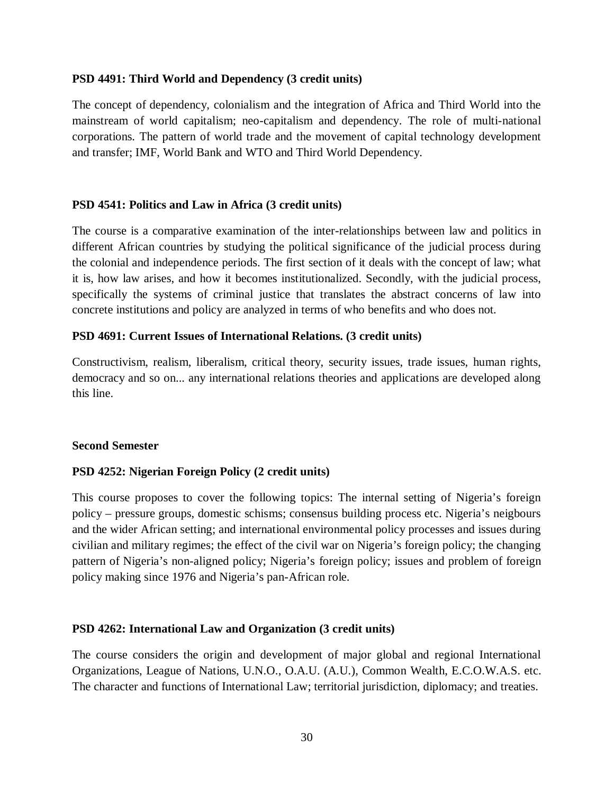### **PSD 4491: Third World and Dependency (3 credit units)**

The concept of dependency, colonialism and the integration of Africa and Third World into the mainstream of world capitalism; neo-capitalism and dependency. The role of multi-national corporations. The pattern of world trade and the movement of capital technology development and transfer; IMF, World Bank and WTO and Third World Dependency.

### **PSD 4541: Politics and Law in Africa (3 credit units)**

The course is a comparative examination of the inter-relationships between law and politics in different African countries by studying the political significance of the judicial process during the colonial and independence periods. The first section of it deals with the concept of law; what it is, how law arises, and how it becomes institutionalized. Secondly, with the judicial process, specifically the systems of criminal justice that translates the abstract concerns of law into concrete institutions and policy are analyzed in terms of who benefits and who does not.

### **PSD 4691: Current Issues of International Relations. (3 credit units)**

Constructivism, realism, liberalism, critical theory, security issues, trade issues, human rights, democracy and so on... any international relations theories and applications are developed along this line.

### **Second Semester**

# **PSD 4252: Nigerian Foreign Policy (2 credit units)**

This course proposes to cover the following topics: The internal setting of Nigeria's foreign policy – pressure groups, domestic schisms; consensus building process etc. Nigeria's neigbours and the wider African setting; and international environmental policy processes and issues during civilian and military regimes; the effect of the civil war on Nigeria's foreign policy; the changing pattern of Nigeria's non-aligned policy; Nigeria's foreign policy; issues and problem of foreign policy making since 1976 and Nigeria's pan-African role.

### **PSD 4262: International Law and Organization (3 credit units)**

The course considers the origin and development of major global and regional International Organizations, League of Nations, U.N.O., O.A.U. (A.U.), Common Wealth, E.C.O.W.A.S. etc. The character and functions of International Law; territorial jurisdiction, diplomacy; and treaties.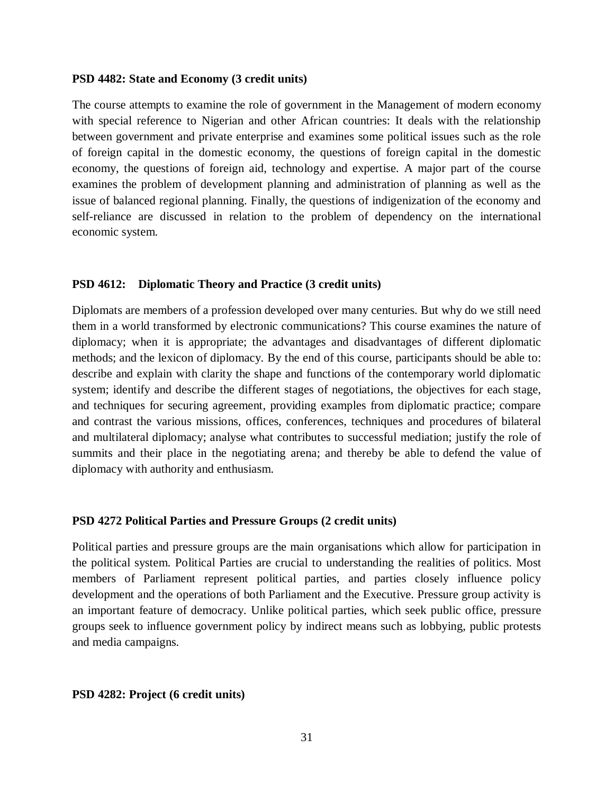### **PSD 4482: State and Economy (3 credit units)**

The course attempts to examine the role of government in the Management of modern economy with special reference to Nigerian and other African countries: It deals with the relationship between government and private enterprise and examines some political issues such as the role of foreign capital in the domestic economy, the questions of foreign capital in the domestic economy, the questions of foreign aid, technology and expertise. A major part of the course examines the problem of development planning and administration of planning as well as the issue of balanced regional planning. Finally, the questions of indigenization of the economy and self-reliance are discussed in relation to the problem of dependency on the international economic system.

### **PSD 4612: Diplomatic Theory and Practice (3 credit units)**

Diplomats are members of a profession developed over many centuries. But why do we still need them in a world transformed by electronic communications? This course examines the nature of diplomacy; when it is appropriate; the advantages and disadvantages of different diplomatic methods; and the lexicon of diplomacy. By the end of this course, participants should be able to: describe and explain with clarity the shape and functions of the contemporary world diplomatic system; identify and describe the different stages of negotiations, the objectives for each stage, and techniques for securing agreement, providing examples from diplomatic practice; compare and contrast the various missions, offices, conferences, techniques and procedures of bilateral and multilateral diplomacy; analyse what contributes to successful mediation; justify the role of summits and their place in the negotiating arena; and thereby be able to defend the value of diplomacy with authority and enthusiasm.

### **PSD 4272 Political Parties and Pressure Groups (2 credit units)**

Political parties and pressure groups are the main organisations which allow for participation in the political system. Political Parties are crucial to understanding the realities of politics. Most members of Parliament represent political parties, and parties closely influence policy development and the operations of both Parliament and the Executive. Pressure group activity is an important feature of democracy. Unlike political parties, which seek public office, pressure groups seek to influence government policy by indirect means such as lobbying, public protests and media campaigns.

### **PSD 4282: Project (6 credit units)**